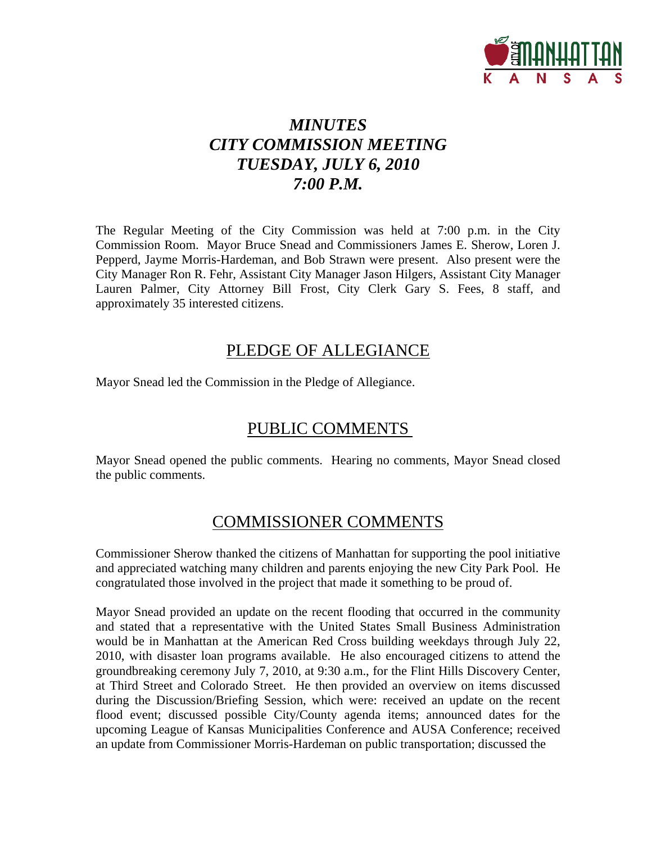

## *MINUTES CITY COMMISSION MEETING TUESDAY, JULY 6, 2010 7:00 P.M.*

The Regular Meeting of the City Commission was held at 7:00 p.m. in the City Commission Room. Mayor Bruce Snead and Commissioners James E. Sherow, Loren J. Pepperd, Jayme Morris-Hardeman, and Bob Strawn were present. Also present were the City Manager Ron R. Fehr, Assistant City Manager Jason Hilgers, Assistant City Manager Lauren Palmer, City Attorney Bill Frost, City Clerk Gary S. Fees, 8 staff, and approximately 35 interested citizens.

### PLEDGE OF ALLEGIANCE

Mayor Snead led the Commission in the Pledge of Allegiance.

## PUBLIC COMMENTS

Mayor Snead opened the public comments. Hearing no comments, Mayor Snead closed the public comments.

## COMMISSIONER COMMENTS

Commissioner Sherow thanked the citizens of Manhattan for supporting the pool initiative and appreciated watching many children and parents enjoying the new City Park Pool. He congratulated those involved in the project that made it something to be proud of.

Mayor Snead provided an update on the recent flooding that occurred in the community and stated that a representative with the United States Small Business Administration would be in Manhattan at the American Red Cross building weekdays through July 22, 2010, with disaster loan programs available. He also encouraged citizens to attend the groundbreaking ceremony July 7, 2010, at 9:30 a.m., for the Flint Hills Discovery Center, at Third Street and Colorado Street. He then provided an overview on items discussed during the Discussion/Briefing Session, which were: received an update on the recent flood event; discussed possible City/County agenda items; announced dates for the upcoming League of Kansas Municipalities Conference and AUSA Conference; received an update from Commissioner Morris-Hardeman on public transportation; discussed the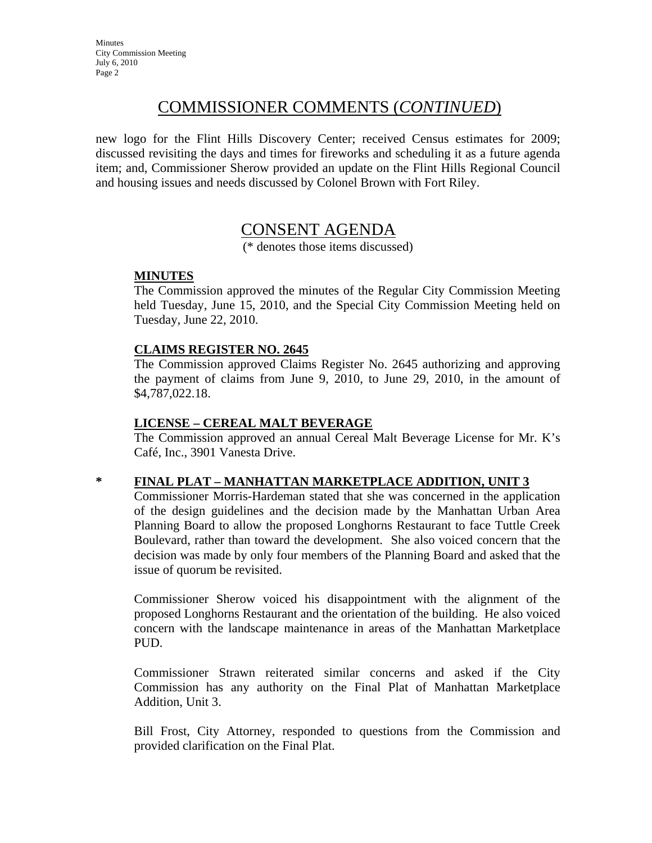## COMMISSIONER COMMENTS (*CONTINUED*)

new logo for the Flint Hills Discovery Center; received Census estimates for 2009; discussed revisiting the days and times for fireworks and scheduling it as a future agenda item; and, Commissioner Sherow provided an update on the Flint Hills Regional Council and housing issues and needs discussed by Colonel Brown with Fort Riley.

### CONSENT AGENDA

(\* denotes those items discussed)

### **MINUTES**

The Commission approved the minutes of the Regular City Commission Meeting held Tuesday, June 15, 2010, and the Special City Commission Meeting held on Tuesday, June 22, 2010.

### **CLAIMS REGISTER NO. 2645**

The Commission approved Claims Register No. 2645 authorizing and approving the payment of claims from June 9, 2010, to June 29, 2010, in the amount of \$4,787,022.18.

### **LICENSE – CEREAL MALT BEVERAGE**

The Commission approved an annual Cereal Malt Beverage License for Mr. K's Café, Inc., 3901 Vanesta Drive.

#### **\* FINAL PLAT – MANHATTAN MARKETPLACE ADDITION, UNIT 3**

Commissioner Morris-Hardeman stated that she was concerned in the application of the design guidelines and the decision made by the Manhattan Urban Area Planning Board to allow the proposed Longhorns Restaurant to face Tuttle Creek Boulevard, rather than toward the development. She also voiced concern that the decision was made by only four members of the Planning Board and asked that the issue of quorum be revisited.

Commissioner Sherow voiced his disappointment with the alignment of the proposed Longhorns Restaurant and the orientation of the building. He also voiced concern with the landscape maintenance in areas of the Manhattan Marketplace PUD.

Commissioner Strawn reiterated similar concerns and asked if the City Commission has any authority on the Final Plat of Manhattan Marketplace Addition, Unit 3.

Bill Frost, City Attorney, responded to questions from the Commission and provided clarification on the Final Plat.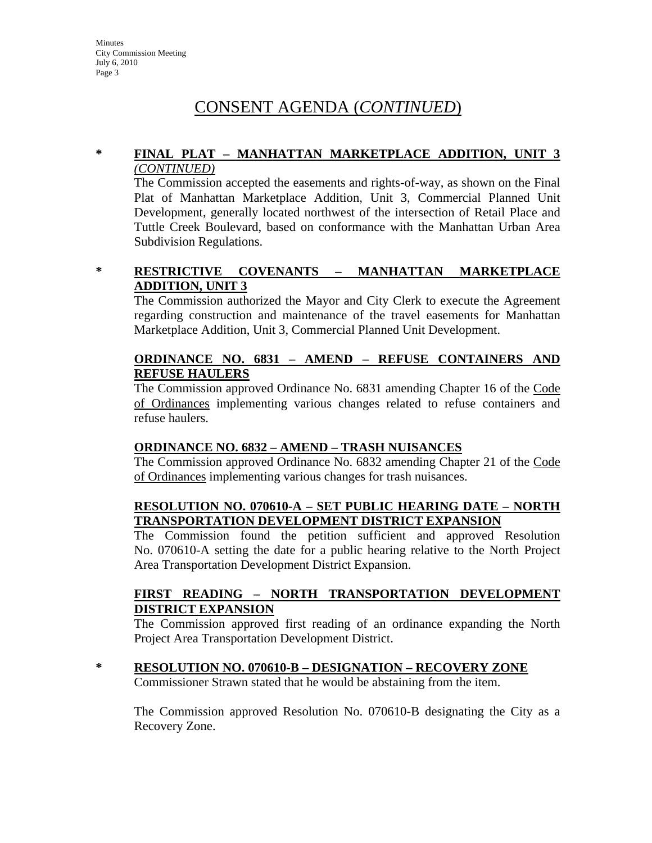#### **\* FINAL PLAT – MANHATTAN MARKETPLACE ADDITION, UNIT 3** *(CONTINUED)*

The Commission accepted the easements and rights-of-way, as shown on the Final Plat of Manhattan Marketplace Addition, Unit 3, Commercial Planned Unit Development, generally located northwest of the intersection of Retail Place and Tuttle Creek Boulevard, based on conformance with the Manhattan Urban Area Subdivision Regulations.

**\* RESTRICTIVE COVENANTS – MANHATTAN MARKETPLACE ADDITION, UNIT 3**

The Commission authorized the Mayor and City Clerk to execute the Agreement regarding construction and maintenance of the travel easements for Manhattan Marketplace Addition, Unit 3, Commercial Planned Unit Development.

### **ORDINANCE NO. 6831 – AMEND – REFUSE CONTAINERS AND REFUSE HAULERS**

The Commission approved Ordinance No. 6831 amending Chapter 16 of the Code of Ordinances implementing various changes related to refuse containers and refuse haulers.

### **ORDINANCE NO. 6832 – AMEND – TRASH NUISANCES**

The Commission approved Ordinance No. 6832 amending Chapter 21 of the Code of Ordinances implementing various changes for trash nuisances.

### **RESOLUTION NO. 070610-A – SET PUBLIC HEARING DATE – NORTH TRANSPORTATION DEVELOPMENT DISTRICT EXPANSION**

The Commission found the petition sufficient and approved Resolution No. 070610-A setting the date for a public hearing relative to the North Project Area Transportation Development District Expansion.

#### **FIRST READING – NORTH TRANSPORTATION DEVELOPMENT DISTRICT EXPANSION**

The Commission approved first reading of an ordinance expanding the North Project Area Transportation Development District.

#### **\* RESOLUTION NO. 070610-B – DESIGNATION – RECOVERY ZONE**

Commissioner Strawn stated that he would be abstaining from the item.

The Commission approved Resolution No. 070610-B designating the City as a Recovery Zone.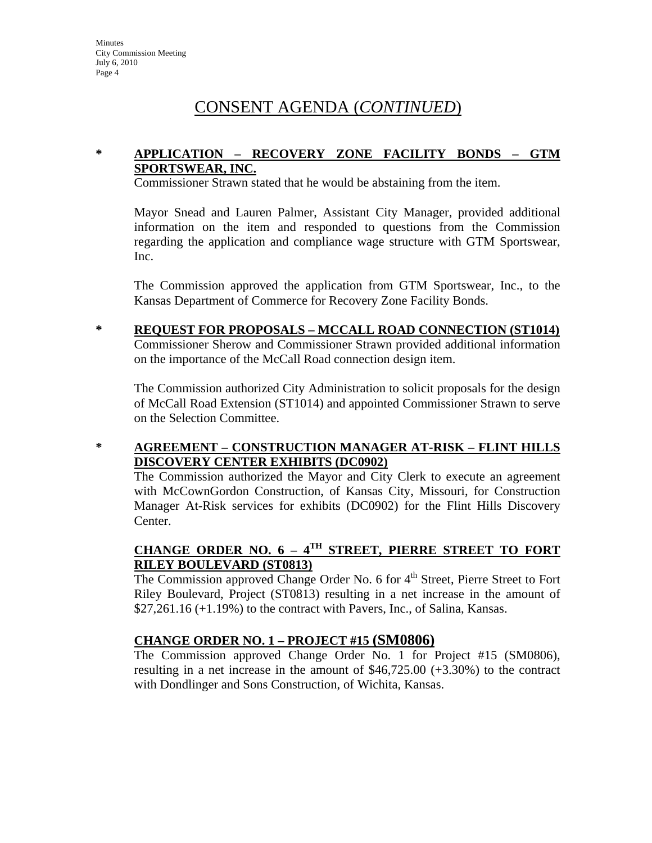### **\* APPLICATION – RECOVERY ZONE FACILITY BONDS – GTM SPORTSWEAR, INC.**

Commissioner Strawn stated that he would be abstaining from the item.

Mayor Snead and Lauren Palmer, Assistant City Manager, provided additional information on the item and responded to questions from the Commission regarding the application and compliance wage structure with GTM Sportswear, Inc.

The Commission approved the application from GTM Sportswear, Inc., to the Kansas Department of Commerce for Recovery Zone Facility Bonds.

**\* REQUEST FOR PROPOSALS – MCCALL ROAD CONNECTION (ST1014)** Commissioner Sherow and Commissioner Strawn provided additional information on the importance of the McCall Road connection design item.

The Commission authorized City Administration to solicit proposals for the design of McCall Road Extension (ST1014) and appointed Commissioner Strawn to serve on the Selection Committee.

**\* AGREEMENT – CONSTRUCTION MANAGER AT-RISK – FLINT HILLS DISCOVERY CENTER EXHIBITS (DC0902)**

The Commission authorized the Mayor and City Clerk to execute an agreement with McCownGordon Construction, of Kansas City, Missouri, for Construction Manager At-Risk services for exhibits (DC0902) for the Flint Hills Discovery Center.

### **CHANGE ORDER NO. 6 – 4TH STREET, PIERRE STREET TO FORT RILEY BOULEVARD (ST0813)**

The Commission approved Change Order No. 6 for 4<sup>th</sup> Street, Pierre Street to Fort Riley Boulevard, Project (ST0813) resulting in a net increase in the amount of  $$27,261.16$  (+1.19%) to the contract with Pavers, Inc., of Salina, Kansas.

### **CHANGE ORDER NO. 1 – PROJECT #15 (SM0806)**

The Commission approved Change Order No. 1 for Project #15 (SM0806), resulting in a net increase in the amount of \$46,725.00 (+3.30%) to the contract with Dondlinger and Sons Construction, of Wichita, Kansas.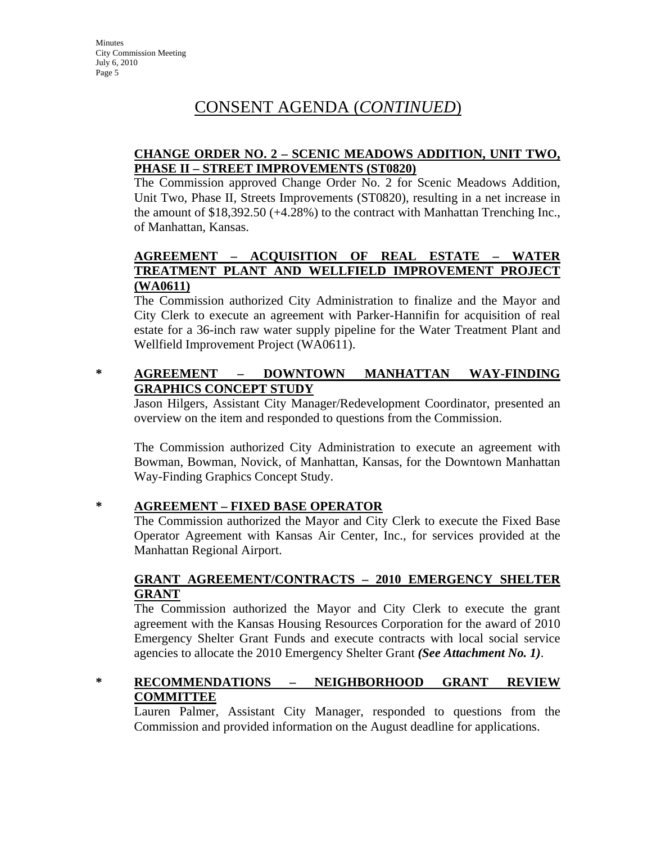### **CHANGE ORDER NO. 2 – SCENIC MEADOWS ADDITION, UNIT TWO, PHASE II – STREET IMPROVEMENTS (ST0820)**

The Commission approved Change Order No. 2 for Scenic Meadows Addition, Unit Two, Phase II, Streets Improvements (ST0820), resulting in a net increase in the amount of \$18,392.50 (+4.28%) to the contract with Manhattan Trenching Inc., of Manhattan, Kansas.

### **AGREEMENT – ACQUISITION OF REAL ESTATE – WATER TREATMENT PLANT AND WELLFIELD IMPROVEMENT PROJECT (WA0611)**

The Commission authorized City Administration to finalize and the Mayor and City Clerk to execute an agreement with Parker-Hannifin for acquisition of real estate for a 36-inch raw water supply pipeline for the Water Treatment Plant and Wellfield Improvement Project (WA0611).

### **\* AGREEMENT – DOWNTOWN MANHATTAN WAY-FINDING GRAPHICS CONCEPT STUDY**

Jason Hilgers, Assistant City Manager/Redevelopment Coordinator, presented an overview on the item and responded to questions from the Commission.

The Commission authorized City Administration to execute an agreement with Bowman, Bowman, Novick, of Manhattan, Kansas, for the Downtown Manhattan Way-Finding Graphics Concept Study.

### **\* AGREEMENT – FIXED BASE OPERATOR**

The Commission authorized the Mayor and City Clerk to execute the Fixed Base Operator Agreement with Kansas Air Center, Inc., for services provided at the Manhattan Regional Airport.

### **GRANT AGREEMENT/CONTRACTS – 2010 EMERGENCY SHELTER GRANT**

The Commission authorized the Mayor and City Clerk to execute the grant agreement with the Kansas Housing Resources Corporation for the award of 2010 Emergency Shelter Grant Funds and execute contracts with local social service agencies to allocate the 2010 Emergency Shelter Grant *(See Attachment No. 1)*.

### **\* RECOMMENDATIONS – NEIGHBORHOOD GRANT REVIEW COMMITTEE**

Lauren Palmer, Assistant City Manager, responded to questions from the Commission and provided information on the August deadline for applications.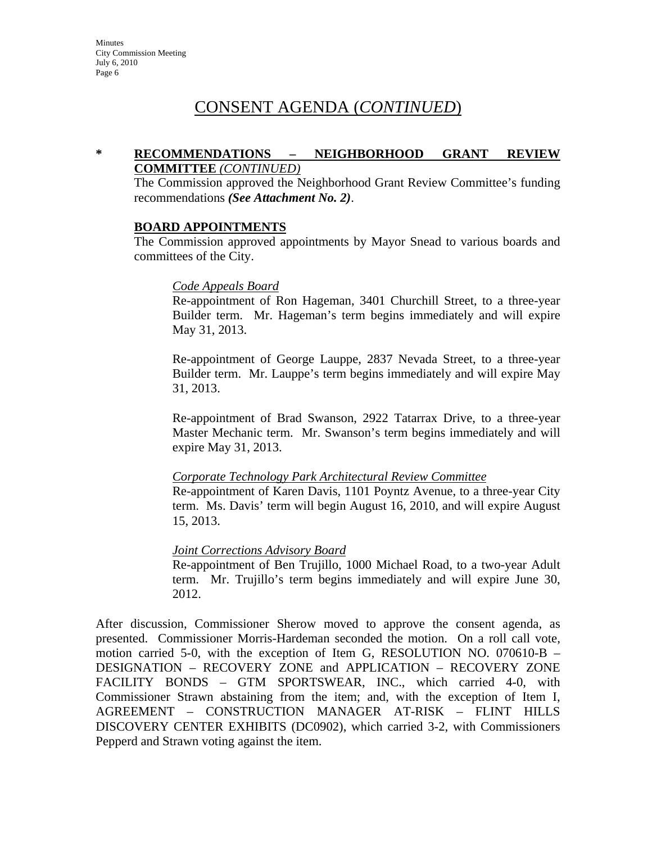#### **\* RECOMMENDATIONS – NEIGHBORHOOD GRANT REVIEW COMMITTEE** *(CONTINUED)*

The Commission approved the Neighborhood Grant Review Committee's funding recommendations *(See Attachment No. 2)*.

#### **BOARD APPOINTMENTS**

The Commission approved appointments by Mayor Snead to various boards and committees of the City.

#### *Code Appeals Board*

Re-appointment of Ron Hageman, 3401 Churchill Street, to a three-year Builder term. Mr. Hageman's term begins immediately and will expire May 31, 2013.

Re-appointment of George Lauppe, 2837 Nevada Street, to a three-year Builder term. Mr. Lauppe's term begins immediately and will expire May 31, 2013.

Re-appointment of Brad Swanson, 2922 Tatarrax Drive, to a three-year Master Mechanic term. Mr. Swanson's term begins immediately and will expire May 31, 2013.

#### *Corporate Technology Park Architectural Review Committee*

Re-appointment of Karen Davis, 1101 Poyntz Avenue, to a three-year City term. Ms. Davis' term will begin August 16, 2010, and will expire August 15, 2013.

#### *Joint Corrections Advisory Board*

Re-appointment of Ben Trujillo, 1000 Michael Road, to a two-year Adult term. Mr. Trujillo's term begins immediately and will expire June 30, 2012.

After discussion, Commissioner Sherow moved to approve the consent agenda, as presented. Commissioner Morris-Hardeman seconded the motion. On a roll call vote, motion carried 5-0, with the exception of Item G, RESOLUTION NO. 070610-B – DESIGNATION – RECOVERY ZONE and APPLICATION – RECOVERY ZONE FACILITY BONDS – GTM SPORTSWEAR, INC., which carried 4-0, with Commissioner Strawn abstaining from the item; and, with the exception of Item I, AGREEMENT – CONSTRUCTION MANAGER AT-RISK – FLINT HILLS DISCOVERY CENTER EXHIBITS (DC0902), which carried 3-2, with Commissioners Pepperd and Strawn voting against the item.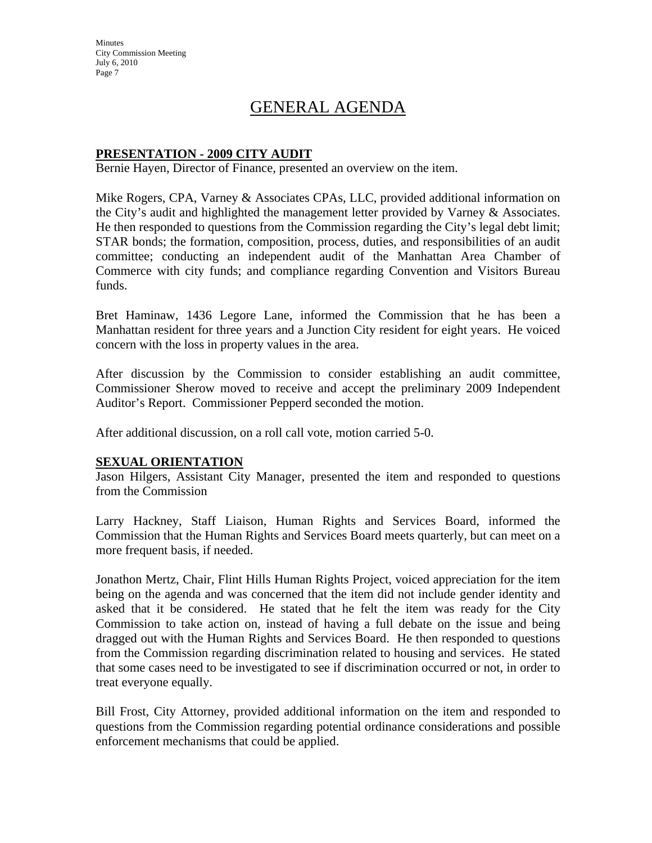**Minutes** City Commission Meeting July 6, 2010 Page 7

## GENERAL AGENDA

#### **PRESENTATION - 2009 CITY AUDIT**

Bernie Hayen, Director of Finance, presented an overview on the item.

Mike Rogers, CPA, Varney & Associates CPAs, LLC, provided additional information on the City's audit and highlighted the management letter provided by Varney  $\&$  Associates. He then responded to questions from the Commission regarding the City's legal debt limit; STAR bonds; the formation, composition, process, duties, and responsibilities of an audit committee; conducting an independent audit of the Manhattan Area Chamber of Commerce with city funds; and compliance regarding Convention and Visitors Bureau funds.

Bret Haminaw, 1436 Legore Lane, informed the Commission that he has been a Manhattan resident for three years and a Junction City resident for eight years. He voiced concern with the loss in property values in the area.

After discussion by the Commission to consider establishing an audit committee, Commissioner Sherow moved to receive and accept the preliminary 2009 Independent Auditor's Report. Commissioner Pepperd seconded the motion.

After additional discussion, on a roll call vote, motion carried 5-0.

#### **SEXUAL ORIENTATION**

Jason Hilgers, Assistant City Manager, presented the item and responded to questions from the Commission

Larry Hackney, Staff Liaison, Human Rights and Services Board, informed the Commission that the Human Rights and Services Board meets quarterly, but can meet on a more frequent basis, if needed.

Jonathon Mertz, Chair, Flint Hills Human Rights Project, voiced appreciation for the item being on the agenda and was concerned that the item did not include gender identity and asked that it be considered. He stated that he felt the item was ready for the City Commission to take action on, instead of having a full debate on the issue and being dragged out with the Human Rights and Services Board. He then responded to questions from the Commission regarding discrimination related to housing and services. He stated that some cases need to be investigated to see if discrimination occurred or not, in order to treat everyone equally.

Bill Frost, City Attorney, provided additional information on the item and responded to questions from the Commission regarding potential ordinance considerations and possible enforcement mechanisms that could be applied.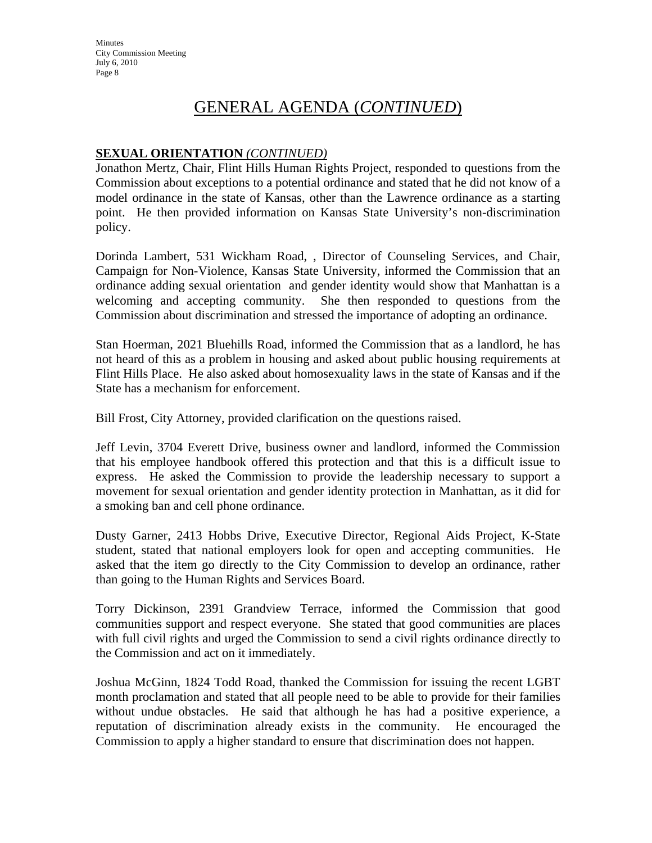## GENERAL AGENDA (*CONTINUED*)

### **SEXUAL ORIENTATION** *(CONTINUED)*

Jonathon Mertz, Chair, Flint Hills Human Rights Project, responded to questions from the Commission about exceptions to a potential ordinance and stated that he did not know of a model ordinance in the state of Kansas, other than the Lawrence ordinance as a starting point. He then provided information on Kansas State University's non-discrimination policy.

Dorinda Lambert, 531 Wickham Road, , Director of Counseling Services, and Chair, Campaign for Non-Violence, Kansas State University, informed the Commission that an ordinance adding sexual orientation and gender identity would show that Manhattan is a welcoming and accepting community. She then responded to questions from the Commission about discrimination and stressed the importance of adopting an ordinance.

Stan Hoerman, 2021 Bluehills Road, informed the Commission that as a landlord, he has not heard of this as a problem in housing and asked about public housing requirements at Flint Hills Place. He also asked about homosexuality laws in the state of Kansas and if the State has a mechanism for enforcement.

Bill Frost, City Attorney, provided clarification on the questions raised.

Jeff Levin, 3704 Everett Drive, business owner and landlord, informed the Commission that his employee handbook offered this protection and that this is a difficult issue to express. He asked the Commission to provide the leadership necessary to support a movement for sexual orientation and gender identity protection in Manhattan, as it did for a smoking ban and cell phone ordinance.

Dusty Garner, 2413 Hobbs Drive, Executive Director, Regional Aids Project, K-State student, stated that national employers look for open and accepting communities. He asked that the item go directly to the City Commission to develop an ordinance, rather than going to the Human Rights and Services Board.

Torry Dickinson, 2391 Grandview Terrace, informed the Commission that good communities support and respect everyone. She stated that good communities are places with full civil rights and urged the Commission to send a civil rights ordinance directly to the Commission and act on it immediately.

Joshua McGinn, 1824 Todd Road, thanked the Commission for issuing the recent LGBT month proclamation and stated that all people need to be able to provide for their families without undue obstacles. He said that although he has had a positive experience, a reputation of discrimination already exists in the community. He encouraged the Commission to apply a higher standard to ensure that discrimination does not happen.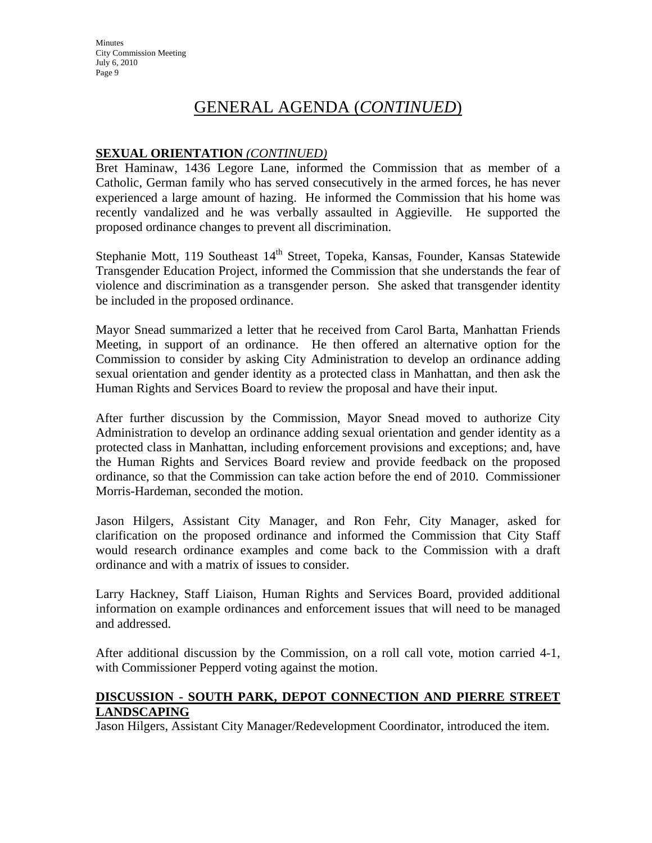## GENERAL AGENDA (*CONTINUED*)

### **SEXUAL ORIENTATION** *(CONTINUED)*

Bret Haminaw, 1436 Legore Lane, informed the Commission that as member of a Catholic, German family who has served consecutively in the armed forces, he has never experienced a large amount of hazing. He informed the Commission that his home was recently vandalized and he was verbally assaulted in Aggieville. He supported the proposed ordinance changes to prevent all discrimination.

Stephanie Mott, 119 Southeast  $14<sup>th</sup>$  Street, Topeka, Kansas, Founder, Kansas Statewide Transgender Education Project, informed the Commission that she understands the fear of violence and discrimination as a transgender person. She asked that transgender identity be included in the proposed ordinance.

Mayor Snead summarized a letter that he received from Carol Barta, Manhattan Friends Meeting, in support of an ordinance. He then offered an alternative option for the Commission to consider by asking City Administration to develop an ordinance adding sexual orientation and gender identity as a protected class in Manhattan, and then ask the Human Rights and Services Board to review the proposal and have their input.

After further discussion by the Commission, Mayor Snead moved to authorize City Administration to develop an ordinance adding sexual orientation and gender identity as a protected class in Manhattan, including enforcement provisions and exceptions; and, have the Human Rights and Services Board review and provide feedback on the proposed ordinance, so that the Commission can take action before the end of 2010. Commissioner Morris-Hardeman, seconded the motion.

Jason Hilgers, Assistant City Manager, and Ron Fehr, City Manager, asked for clarification on the proposed ordinance and informed the Commission that City Staff would research ordinance examples and come back to the Commission with a draft ordinance and with a matrix of issues to consider.

Larry Hackney, Staff Liaison, Human Rights and Services Board, provided additional information on example ordinances and enforcement issues that will need to be managed and addressed.

After additional discussion by the Commission, on a roll call vote, motion carried 4-1, with Commissioner Pepperd voting against the motion.

#### **DISCUSSION - SOUTH PARK, DEPOT CONNECTION AND PIERRE STREET LANDSCAPING**

Jason Hilgers, Assistant City Manager/Redevelopment Coordinator, introduced the item.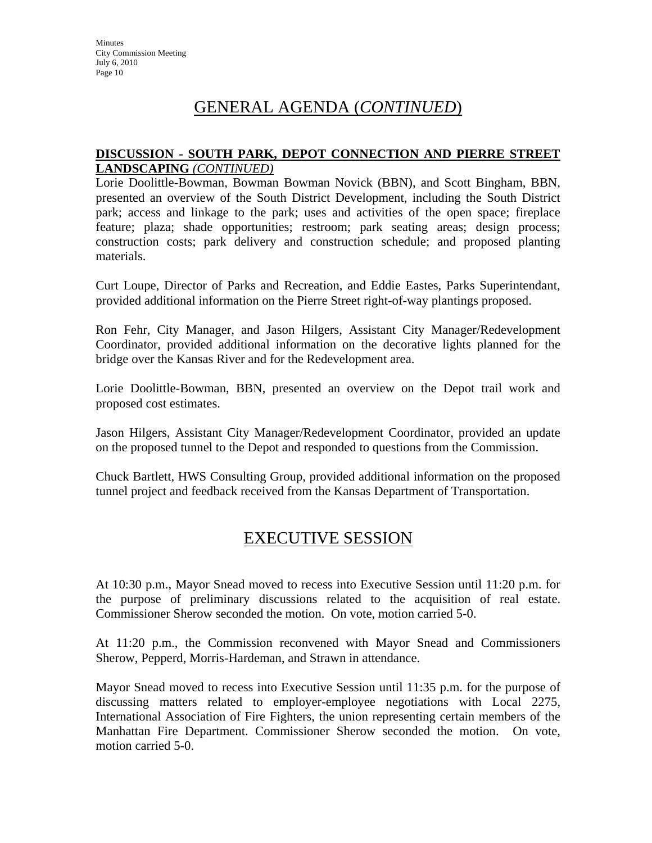## GENERAL AGENDA (*CONTINUED*)

### **DISCUSSION - SOUTH PARK, DEPOT CONNECTION AND PIERRE STREET LANDSCAPING** *(CONTINUED)*

Lorie Doolittle-Bowman, Bowman Bowman Novick (BBN), and Scott Bingham, BBN, presented an overview of the South District Development, including the South District park; access and linkage to the park; uses and activities of the open space; fireplace feature; plaza; shade opportunities; restroom; park seating areas; design process; construction costs; park delivery and construction schedule; and proposed planting materials.

Curt Loupe, Director of Parks and Recreation, and Eddie Eastes, Parks Superintendant, provided additional information on the Pierre Street right-of-way plantings proposed.

Ron Fehr, City Manager, and Jason Hilgers, Assistant City Manager/Redevelopment Coordinator, provided additional information on the decorative lights planned for the bridge over the Kansas River and for the Redevelopment area.

Lorie Doolittle-Bowman, BBN, presented an overview on the Depot trail work and proposed cost estimates.

Jason Hilgers, Assistant City Manager/Redevelopment Coordinator, provided an update on the proposed tunnel to the Depot and responded to questions from the Commission.

Chuck Bartlett, HWS Consulting Group, provided additional information on the proposed tunnel project and feedback received from the Kansas Department of Transportation.

## EXECUTIVE SESSION

At 10:30 p.m., Mayor Snead moved to recess into Executive Session until 11:20 p.m. for the purpose of preliminary discussions related to the acquisition of real estate. Commissioner Sherow seconded the motion. On vote, motion carried 5-0.

At 11:20 p.m., the Commission reconvened with Mayor Snead and Commissioners Sherow, Pepperd, Morris-Hardeman, and Strawn in attendance.

Mayor Snead moved to recess into Executive Session until 11:35 p.m. for the purpose of discussing matters related to employer-employee negotiations with Local 2275, International Association of Fire Fighters, the union representing certain members of the Manhattan Fire Department. Commissioner Sherow seconded the motion. On vote, motion carried 5-0.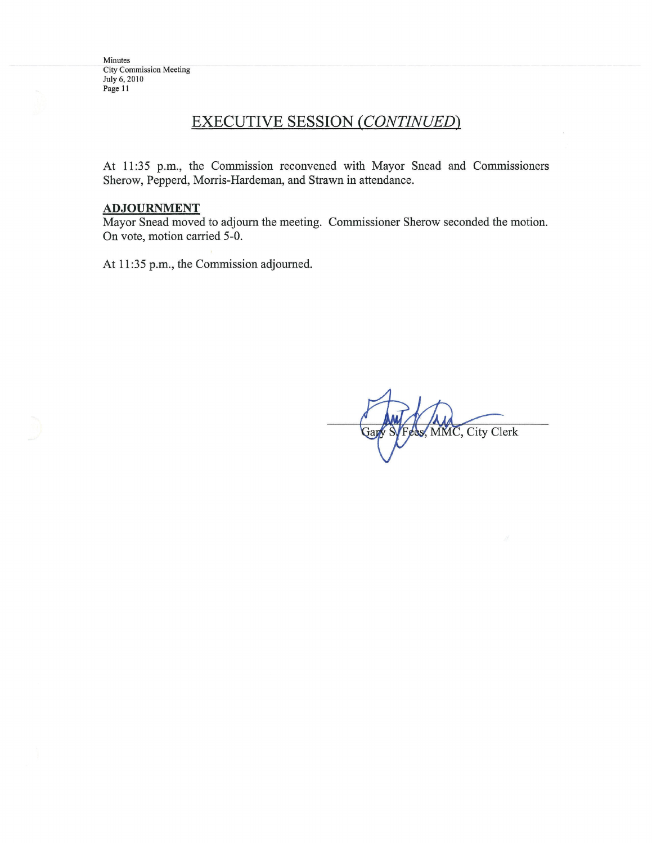### **EXECUTIVE SESSION (CONTINUED)**

At 11:35 p.m., the Commission reconvened with Mayor Snead and Commissioners Sherow, Pepperd, Morris-Hardeman, and Strawn in attendance.

### **ADJOURNMENT**

Mayor Snead moved to adjourn the meeting. Commissioner Sherow seconded the motion. On vote, motion carried 5-0.

At 11:35 p.m., the Commission adjourned.

Fees, MMC, City Clerk Gar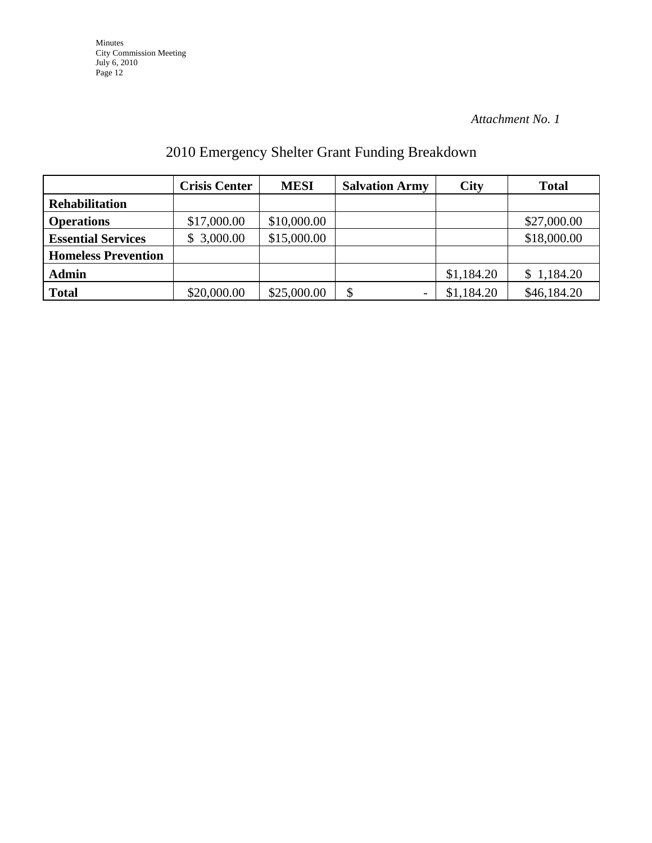*Attachment No. 1*

# 2010 Emergency Shelter Grant Funding Breakdown

|                            | <b>Crisis Center</b> | <b>MESI</b> | <b>Salvation Army</b> | City       | <b>Total</b> |
|----------------------------|----------------------|-------------|-----------------------|------------|--------------|
| <b>Rehabilitation</b>      |                      |             |                       |            |              |
| <b>Operations</b>          | \$17,000.00          | \$10,000.00 |                       |            | \$27,000.00  |
| <b>Essential Services</b>  | \$3,000.00           | \$15,000.00 |                       |            | \$18,000.00  |
| <b>Homeless Prevention</b> |                      |             |                       |            |              |
| <b>Admin</b>               |                      |             |                       | \$1,184.20 | \$1,184.20   |
| <b>Total</b>               | \$20,000.00          | \$25,000.00 | \$                    | \$1,184.20 | \$46,184.20  |